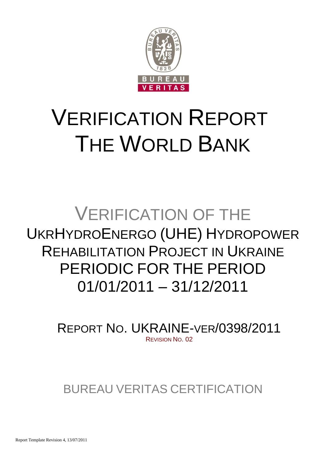

# VERIFICATION REPORT THE WORLD BANK

## VERIFICATION OF THE UKRHYDROENERGO (UHE) HYDROPOWER REHABILITATION PROJECT IN UKRAINE PERIODIC FOR THE PERIOD 01/01/2011 – 31/12/2011

REPORT NO. UKRAINE-VER/0398/2011 REVISION NO. 02

BUREAU VERITAS CERTIFICATION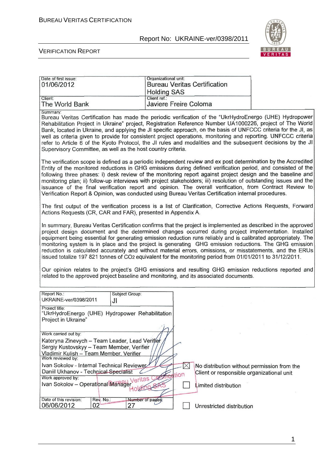Date of first issue: Case of first issue:

#### Report No: UKRAINE-ver/0398/2011



1

#### VERIFICATION REPORT

| 01/06/2012                                                                                                                                                                                                                                                                                                                                                                                                                                                                                                                                                                                                                                                                  | <b>Holding SAS</b>                                                                                                                                                                                                                                                                                                                                                                                                                                                                                                                                                                                                                                                                                                                                      | <b>Bureau Veritas Certification</b>                                                                                   |  |  |  |  |
|-----------------------------------------------------------------------------------------------------------------------------------------------------------------------------------------------------------------------------------------------------------------------------------------------------------------------------------------------------------------------------------------------------------------------------------------------------------------------------------------------------------------------------------------------------------------------------------------------------------------------------------------------------------------------------|---------------------------------------------------------------------------------------------------------------------------------------------------------------------------------------------------------------------------------------------------------------------------------------------------------------------------------------------------------------------------------------------------------------------------------------------------------------------------------------------------------------------------------------------------------------------------------------------------------------------------------------------------------------------------------------------------------------------------------------------------------|-----------------------------------------------------------------------------------------------------------------------|--|--|--|--|
| Client:<br>The World Bank                                                                                                                                                                                                                                                                                                                                                                                                                                                                                                                                                                                                                                                   | Client ref.:<br><b>Javiere Freire Coloma</b>                                                                                                                                                                                                                                                                                                                                                                                                                                                                                                                                                                                                                                                                                                            |                                                                                                                       |  |  |  |  |
| Summary:<br>Bureau Veritas Certification has made the periodic verification of the "UkrHydroEnergo (UHE) Hydropower<br>Rehabilitation Project in Ukraine" project, Registration Reference Number UA1000226, project of The World<br>Bank, located in Ukraine, and applying the JI specific approach, on the basis of UNFCCC criteria for the JI, as<br>well as criteria given to provide for consistent project operations, monitoring and reporting. UNFCCC criteria<br>refer to Article 6 of the Kyoto Protocol, the JI rules and modalities and the subsequent decisions by the JI                                                                                       |                                                                                                                                                                                                                                                                                                                                                                                                                                                                                                                                                                                                                                                                                                                                                         |                                                                                                                       |  |  |  |  |
|                                                                                                                                                                                                                                                                                                                                                                                                                                                                                                                                                                                                                                                                             | Supervisory Committee, as well as the host country criteria.<br>The verification scope is defined as a periodic independent review and ex post determination by the Accredited<br>Entity of the monitored reductions in GHG emissions during defined verification period, and consisted of the<br>following three phases: i) desk review of the monitoring report against project design and the baseline and<br>monitoring plan; ii) follow-up interviews with project stakeholders; iii) resolution of outstanding issues and the<br>issuance of the final verification report and opinion. The overall verification, from Contract Review to<br>Verification Report & Opinion, was conducted using Bureau Veritas Certification internal procedures. |                                                                                                                       |  |  |  |  |
| The first output of the verification process is a list of Clarification, Corrective Actions Requests, Forward<br>Actions Requests (CR, CAR and FAR), presented in Appendix A.                                                                                                                                                                                                                                                                                                                                                                                                                                                                                               |                                                                                                                                                                                                                                                                                                                                                                                                                                                                                                                                                                                                                                                                                                                                                         |                                                                                                                       |  |  |  |  |
| In summary, Bureau Veritas Certification confirms that the project is implemented as described in the approved<br>project design document and the determined changes occurred during project implementation. Installed<br>equipment being essential for generating emission reduction runs reliably and is calibrated appropriately. The<br>monitoring system is in place and the project is generating GHG emission reductions. The GHG emission<br>reduction is calculated accurately and without material errors, omissions, or misstatements, and the ERUs<br>issued totalize 197 821 tonnes of CO2 equivalent for the monitoring period from 01/01/2011 to 31/12/2011. |                                                                                                                                                                                                                                                                                                                                                                                                                                                                                                                                                                                                                                                                                                                                                         |                                                                                                                       |  |  |  |  |
| Our opinion relates to the project's GHG emissions and resulting GHG emission reductions reported and<br>related to the approved project baseline and monitoring, and its associated documents.                                                                                                                                                                                                                                                                                                                                                                                                                                                                             |                                                                                                                                                                                                                                                                                                                                                                                                                                                                                                                                                                                                                                                                                                                                                         |                                                                                                                       |  |  |  |  |
| Report No.:<br>Subject Group:<br>UKRAINE-ver/0398/2011<br>J۱                                                                                                                                                                                                                                                                                                                                                                                                                                                                                                                                                                                                                |                                                                                                                                                                                                                                                                                                                                                                                                                                                                                                                                                                                                                                                                                                                                                         |                                                                                                                       |  |  |  |  |
| Project title:<br>"UkrHydroEnergo (UHE) Hydropower Rehabilitation<br>Project in Ukraine"                                                                                                                                                                                                                                                                                                                                                                                                                                                                                                                                                                                    | $\sqrt{2}$                                                                                                                                                                                                                                                                                                                                                                                                                                                                                                                                                                                                                                                                                                                                              |                                                                                                                       |  |  |  |  |
| Work carried out by:<br>Kateryna Zinevych - Team Leader, Lead Verifier<br>Sergiy Kustovskyy - Team Member, Verifier<br>Vladimir Kulish - Team Member, Verifier                                                                                                                                                                                                                                                                                                                                                                                                                                                                                                              |                                                                                                                                                                                                                                                                                                                                                                                                                                                                                                                                                                                                                                                                                                                                                         |                                                                                                                       |  |  |  |  |
| Work reviewed by:<br>Ivan Sokolov - Internal Technical Reviewer<br>Daniil Ukhanov - Technical Specialist<br>Work approved by:<br>Ivan Sokolov - Operational Manager                                                                                                                                                                                                                                                                                                                                                                                                                                                                                                         | tion                                                                                                                                                                                                                                                                                                                                                                                                                                                                                                                                                                                                                                                                                                                                                    | X<br>No distribution without permission from the<br>Client or responsible organizational unit<br>Limited distribution |  |  |  |  |
| Date of this revision:<br>Rev. No.:<br>06/06/2012<br>02                                                                                                                                                                                                                                                                                                                                                                                                                                                                                                                                                                                                                     | Number of pages<br>27                                                                                                                                                                                                                                                                                                                                                                                                                                                                                                                                                                                                                                                                                                                                   | Unrestricted distribution                                                                                             |  |  |  |  |

1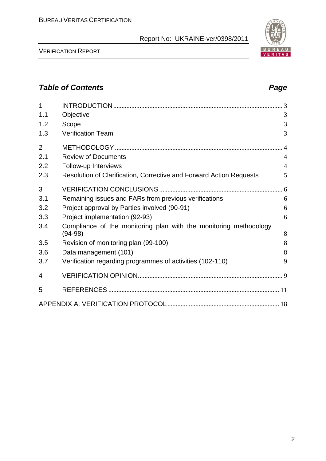#### VERIFICATION REPORT

### *Table of Contents Page*

| 1              |                                                                                |                |
|----------------|--------------------------------------------------------------------------------|----------------|
| 1.1            | Objective                                                                      | 3              |
| 1.2            | Scope                                                                          | 3              |
| 1.3            | <b>Verification Team</b>                                                       | 3              |
| $\overline{2}$ |                                                                                |                |
| 2.1            | <b>Review of Documents</b>                                                     | $\overline{4}$ |
| 2.2            | Follow-up Interviews                                                           | $\overline{4}$ |
| 2.3            | Resolution of Clarification, Corrective and Forward Action Requests            | 5              |
| 3              |                                                                                |                |
| 3.1            | Remaining issues and FARs from previous verifications                          | 6              |
| 3.2            | Project approval by Parties involved (90-91)                                   | 6              |
| 3.3            | Project implementation (92-93)                                                 | 6              |
| 3.4            | Compliance of the monitoring plan with the monitoring methodology<br>$(94-98)$ | 8              |
| 3.5            | Revision of monitoring plan (99-100)                                           | 8              |
| 3.6            | Data management (101)                                                          | 8              |
| 3.7            | Verification regarding programmes of activities (102-110)                      | 9              |
| 4              |                                                                                |                |
| 5              |                                                                                |                |
|                |                                                                                |                |

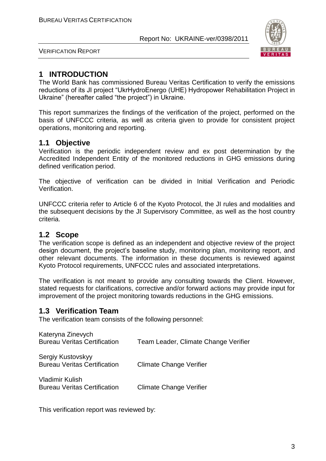

VERIFICATION REPORT

#### **1 INTRODUCTION**

The World Bank has commissioned Bureau Veritas Certification to verify the emissions reductions of its JI project "UkrHydroEnergo (UHE) Hydropower Rehabilitation Project in Ukraine" (hereafter called "the project") in Ukraine.

This report summarizes the findings of the verification of the project, performed on the basis of UNFCCC criteria, as well as criteria given to provide for consistent project operations, monitoring and reporting.

#### **1.1 Objective**

Verification is the periodic independent review and ex post determination by the Accredited Independent Entity of the monitored reductions in GHG emissions during defined verification period.

The objective of verification can be divided in Initial Verification and Periodic Verification.

UNFCCC criteria refer to Article 6 of the Kyoto Protocol, the JI rules and modalities and the subsequent decisions by the JI Supervisory Committee, as well as the host country criteria.

#### **1.2 Scope**

The verification scope is defined as an independent and objective review of the project design document, the project's baseline study, monitoring plan, monitoring report, and other relevant documents. The information in these documents is reviewed against Kyoto Protocol requirements, UNFCCC rules and associated interpretations.

The verification is not meant to provide any consulting towards the Client. However, stated requests for clarifications, corrective and/or forward actions may provide input for improvement of the project monitoring towards reductions in the GHG emissions.

#### **1.3 Verification Team**

The verification team consists of the following personnel:

| Kateryna Zinevych                                             |                                      |
|---------------------------------------------------------------|--------------------------------------|
| <b>Bureau Veritas Certification</b>                           | Team Leader, Climate Change Verifier |
| Sergiy Kustovskyy<br><b>Bureau Veritas Certification</b>      | <b>Climate Change Verifier</b>       |
| <b>Vladimir Kulish</b><br><b>Bureau Veritas Certification</b> | <b>Climate Change Verifier</b>       |

This verification report was reviewed by: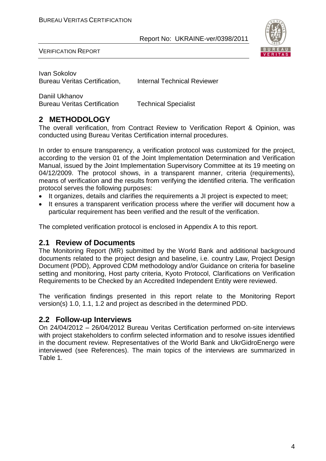

VERIFICATION REPORT

Ivan Sokolov Bureau Veritas Certification, Internal Technical Reviewer

Daniil Ukhanov Bureau Veritas Certification Technical Specialist

#### **2 METHODOLOGY**

The overall verification, from Contract Review to Verification Report & Opinion, was conducted using Bureau Veritas Certification internal procedures.

In order to ensure transparency, a verification protocol was customized for the project, according to the version 01 of the Joint Implementation Determination and Verification Manual, issued by the Joint Implementation Supervisory Committee at its 19 meeting on 04/12/2009. The protocol shows, in a transparent manner, criteria (requirements), means of verification and the results from verifying the identified criteria. The verification protocol serves the following purposes:

- It organizes, details and clarifies the requirements a JI project is expected to meet;
- It ensures a transparent verification process where the verifier will document how a particular requirement has been verified and the result of the verification.

The completed verification protocol is enclosed in Appendix A to this report.

#### **2.1 Review of Documents**

The Monitoring Report (MR) submitted by the World Bank and additional background documents related to the project design and baseline, i.e. country Law, Project Design Document (PDD), Approved CDM methodology and/or Guidance on criteria for baseline setting and monitoring, Host party criteria, Kyoto Protocol, Clarifications on Verification Requirements to be Checked by an Accredited Independent Entity were reviewed.

The verification findings presented in this report relate to the Monitoring Report version(s) 1.0, 1.1, 1.2 and project as described in the determined PDD.

#### **2.2 Follow-up Interviews**

On 24/04/2012 – 26/04/2012 Bureau Veritas Certification performed on-site interviews with project stakeholders to confirm selected information and to resolve issues identified in the document review. Representatives of the World Bank and UkrGidroEnergo were interviewed (see References). The main topics of the interviews are summarized in Table 1.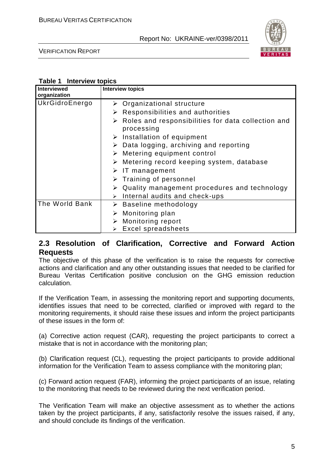

VERIFICATION REPORT

#### **Table 1 Interview topics**

| <b>Interviewed</b><br>organization | <b>Interview topics</b>                                                           |
|------------------------------------|-----------------------------------------------------------------------------------|
| UkrGidroEnergo                     | $\triangleright$ Organizational structure                                         |
|                                    | $\triangleright$ Responsibilities and authorities                                 |
|                                    | $\triangleright$ Roles and responsibilities for data collection and<br>processing |
|                                    | $\triangleright$ Installation of equipment                                        |
|                                    | $\triangleright$ Data logging, archiving and reporting                            |
|                                    | $\triangleright$ Metering equipment control                                       |
|                                    | Metering record keeping system, database<br>➤                                     |
|                                    | $\triangleright$ IT management                                                    |
|                                    | $\triangleright$ Training of personnel                                            |
|                                    | $\triangleright$ Quality management procedures and technology                     |
|                                    | Internal audits and check-ups<br>$\blacktriangleright$                            |
| The World Bank                     | $\triangleright$ Baseline methodology                                             |
|                                    | Monitoring plan<br>➤                                                              |
|                                    | Monitoring report                                                                 |
|                                    | <b>Excel spreadsheets</b>                                                         |

#### **2.3 Resolution of Clarification, Corrective and Forward Action Requests**

The objective of this phase of the verification is to raise the requests for corrective actions and clarification and any other outstanding issues that needed to be clarified for Bureau Veritas Certification positive conclusion on the GHG emission reduction calculation.

If the Verification Team, in assessing the monitoring report and supporting documents, identifies issues that need to be corrected, clarified or improved with regard to the monitoring requirements, it should raise these issues and inform the project participants of these issues in the form of:

(a) Corrective action request (CAR), requesting the project participants to correct a mistake that is not in accordance with the monitoring plan;

(b) Clarification request (CL), requesting the project participants to provide additional information for the Verification Team to assess compliance with the monitoring plan;

(c) Forward action request (FAR), informing the project participants of an issue, relating to the monitoring that needs to be reviewed during the next verification period.

The Verification Team will make an objective assessment as to whether the actions taken by the project participants, if any, satisfactorily resolve the issues raised, if any, and should conclude its findings of the verification.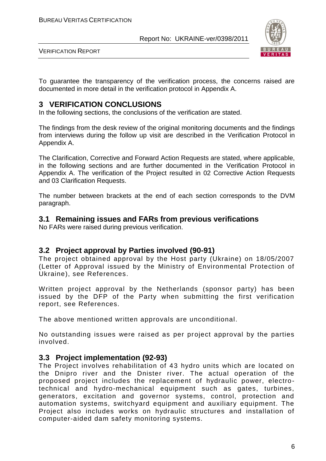

VERIFICATION REPORT

To guarantee the transparency of the verification process, the concerns raised are documented in more detail in the verification protocol in Appendix A.

#### **3 VERIFICATION CONCLUSIONS**

In the following sections, the conclusions of the verification are stated.

The findings from the desk review of the original monitoring documents and the findings from interviews during the follow up visit are described in the Verification Protocol in Appendix A.

The Clarification, Corrective and Forward Action Requests are stated, where applicable, in the following sections and are further documented in the Verification Protocol in Appendix A. The verification of the Project resulted in 02 Corrective Action Requests and 03 Clarification Requests.

The number between brackets at the end of each section corresponds to the DVM paragraph.

#### **3.1 Remaining issues and FARs from previous verifications**

No FARs were raised during previous verification.

#### **3.2 Project approval by Parties involved (90-91)**

The project obtained approval by the Host party (Ukraine) on 18/05/2007 (Letter of Approval issued by the Ministry of Environmental Protection of Ukraine), see References.

Written project approval by the Netherlands (sponsor party) has been issued by the DFP of the Party when submitting the first verification report, see References.

The above mentioned written approvals are unconditional.

No outstanding issues were raised as per project approval by the parties involved.

#### **3.3 Project implementation (92-93)**

The Project involves rehabilitation of 43 hydro units which are located on the Dnipro river and the Dnister river. The actual operation of the proposed project includes the replacement of hydraulic power, electrotechnical and hydro-mechanical equipment such as gates, turbines, generators, excitation and governor systems, control, protection and automation systems, switchyard equipment and auxiliary equipment. The Project also includes works on hydraulic structures and installation of computer-aided dam safety monitoring systems.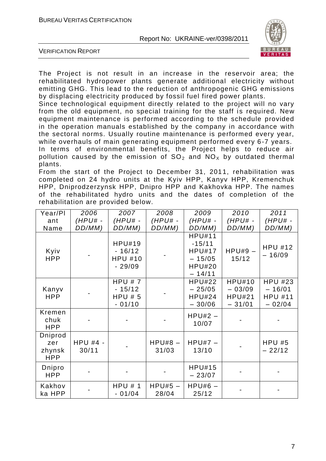

VERIFICATION REPORT

The Project is not result in an increase in the reservoir area; the rehabilitated hydropower plants generate additional electricity without emitting GHG. This lead to the reduction of anthropogenic GHG emissions by displacing electricity produced by fossil fuel fired power plants.

Since technological equipment directly related to the project will no vary from the old equipment, no special training for the staff is required. New equipment maintenance is performed according to the schedule provided in the operation manuals established by the company in accordance with the sectoral norms. Usually routine maintenance is performed every year, while overhauls of main generating equipment performed every 6-7 years.

In terms of environmental benefits, the Project helps to reduce air pollution caused by the emission of  $SO_2$  and  $NO_x$  by outdated thermal plants.

From the start of the Project to December 31, 2011, rehabilitation was completed on 24 hydro units at the Kyiv HPP, Kanyv HPP, Kremenchuk HPP, Dniprodzerzynsk HPP, Dnipro HPP and Kakhovka HPP. The names of the rehabilitated hydro units and the dates of completion of the rehabilitation are provided below.

| Year/Pl                                | 2006                     | 2007                                                    | 2008                | 2009                                                                                | 2010                                                   | 2011                                                     |
|----------------------------------------|--------------------------|---------------------------------------------------------|---------------------|-------------------------------------------------------------------------------------|--------------------------------------------------------|----------------------------------------------------------|
| ant<br>Name                            | $(HPU# -$<br>DD/MM)      | $(HPU# -$<br>DD/MM)                                     | $(HPU# -$<br>DD/MM) | $(HPU# -$<br>DD/MM)                                                                 | $(HPU# -$<br>DD/MM)                                    | $(HPU# -$<br>DD/MM)                                      |
| Kyiv<br><b>HPP</b>                     |                          | <b>HPU#19</b><br>$-16/12$<br><b>HPU #10</b><br>$-29/09$ |                     | <b>HPU#11</b><br>$-15/11$<br><b>HPU#17</b><br>$-15/05$<br><b>HPU#20</b><br>$-14/11$ | $HPU#9 -$<br>15/12                                     | <b>HPU #12</b><br>$-16/09$                               |
| Kanyv<br><b>HPP</b>                    |                          | HPU # 7<br>$-15/12$<br>HPU#5<br>$-01/10$                |                     | <b>HPU#22</b><br>$-25/05$<br><b>HPU#24</b><br>$-30/06$                              | <b>HPU#10</b><br>$-03/09$<br><b>HPU#21</b><br>$-31/01$ | <b>HPU #23</b><br>$-16/01$<br><b>HPU #11</b><br>$-02/04$ |
| Kremen<br>chuk<br><b>HPP</b>           |                          |                                                         |                     | $HPU#2 -$<br>10/07                                                                  |                                                        |                                                          |
| Dniprod<br>zer<br>zhynsk<br><b>HPP</b> | <b>HPU #4 -</b><br>30/11 |                                                         | $HPU#8 -$<br>31/03  | $HPU#7 -$<br>13/10                                                                  |                                                        | HPU#5<br>$-22/12$                                        |
| Dnipro<br><b>HPP</b>                   |                          |                                                         |                     | <b>HPU#15</b><br>$-23/07$                                                           |                                                        |                                                          |
| Kakhov<br>ka HPP                       |                          | HPU#1<br>$-01/04$                                       | $HPU#5 -$<br>28/04  | $HPU#6 -$<br>25/12                                                                  |                                                        |                                                          |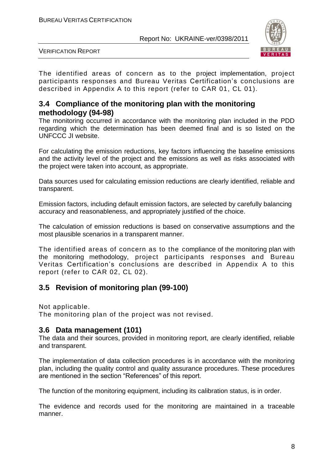

VERIFICATION REPORT

The identified areas of concern as to the project implementation, project participants responses and Bureau Veritas Certification's conclusions are described in Appendix A to this report (refer to CAR 01, CL 01).

#### **3.4 Compliance of the monitoring plan with the monitoring methodology (94-98)**

The monitoring occurred in accordance with the monitoring plan included in the PDD regarding which the determination has been deemed final and is so listed on the UNFCCC JI website.

For calculating the emission reductions, key factors influencing the baseline emissions and the activity level of the project and the emissions as well as risks associated with the project were taken into account, as appropriate.

Data sources used for calculating emission reductions are clearly identified, reliable and transparent.

Emission factors, including default emission factors, are selected by carefully balancing accuracy and reasonableness, and appropriately justified of the choice.

The calculation of emission reductions is based on conservative assumptions and the most plausible scenarios in a transparent manner.

The identified areas of concern as to the compliance of the monitoring plan with the monitoring methodology, project participants responses and Bureau Veritas Certification's conclusions are described in Appendix A to this report (refer to CAR 02, CL 02).

#### **3.5 Revision of monitoring plan (99-100)**

Not applicable.

The monitoring plan of the project was not revised.

#### **3.6 Data management (101)**

The data and their sources, provided in monitoring report, are clearly identified, reliable and transparent.

The implementation of data collection procedures is in accordance with the monitoring plan, including the quality control and quality assurance procedures. These procedures are mentioned in the section "References" of this report.

The function of the monitoring equipment, including its calibration status, is in order.

The evidence and records used for the monitoring are maintained in a traceable manner.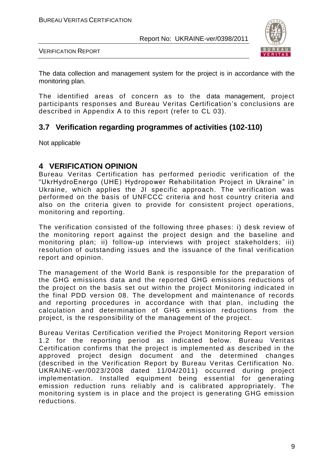

VERIFICATION REPORT

The data collection and management system for the project is in accordance with the monitoring plan.

The identified areas of concern as to the data management, project participants responses and Bureau Veritas Certification's conclusions are described in Appendix A to this report (refer to CL 03).

#### **3.7 Verification regarding programmes of activities (102-110)**

Not applicable

#### **4 VERIFICATION OPINION**

Bureau Veritas Certification has performed periodic verification of the "UkrHydroEnergo (UHE) Hydropower Rehabilitation Project in Ukraine" in Ukraine, which applies the JI specific approach. The verification was performed on the basis of UNFCCC criteria and host country criteria and also on the criteria given to provide for consistent project operations, monitoring and reporting.

The verification consisted of the following three phases: i) desk review of the monitoring report against the project design and the baseline and monitoring plan; ii) follow-up interviews with project stakeholders; iii) resolution of outstanding issues and the issuance of the final verification report and opinion.

The management of the World Bank is responsible for the preparation of the GHG emissions data and the reported GHG emissions reductions of the project on the basis set out within the project Monitoring indicated in the final PDD version 08. The development and maintenance of records and reporting procedures in accordance with that plan, including the calculation and determination of GHG emission reductions from the project, is the responsibility of the management of the project.

Bureau Veritas Certification verified the Project Monitoring Report version 1.2 for the reporting period as indicated below. Bureau Veritas Certification confirms that the project is implemented as described in the approved project design document and the determined changes (described in the Verification Report by Bureau Veritas Certification No. UKRAINE-ver/0023/2008 dated 11/04/2011) occurred during project implementation. Installed equipment being essential for generating emission reduction runs reliably and is calibrated appropriately. The monitoring system is in place and the project is generating GHG emission reductions.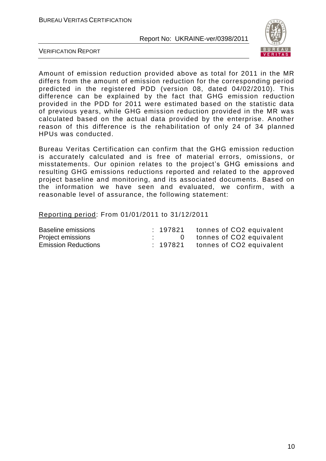

VERIFICATION REPORT

Amount of emission reduction provided above as total for 2011 in the MR differs from the amount of emission reduction for the corresponding period predicted in the registered PDD (version 08, dated 04/02/2010). This difference can be explained by the fact that GHG emis sion reduction provided in the PDD for 2011 were estimated based on the statistic data of previous years, while GHG emission reduction provided in the MR was calculated based on the actual data provided by the enterprise. Another reason of this difference is the rehabilitation of only 24 of 34 planned HPUs was conducted.

Bureau Veritas Certification can confirm that the GHG emission reduction is accurately calculated and is free of material errors, omissions, or misstatements. Our opinion relates to the project's GHG emissions and resulting GHG emissions reductions reported and related to the approved project baseline and monitoring, and its associated documents. Based on the information we have seen and evaluated, we confirm, with a reasonable level of assurance, the following statement:

Reporting period: From 01/01/2011 to 31/12/2011

| Baseline emissions         |  | : 197821 tonnes of CO2 equivalent   |
|----------------------------|--|-------------------------------------|
| Project emissions          |  | 0 tonnes of CO2 equivalent          |
| <b>Emission Reductions</b> |  | $: 197821$ tonnes of CO2 equivalent |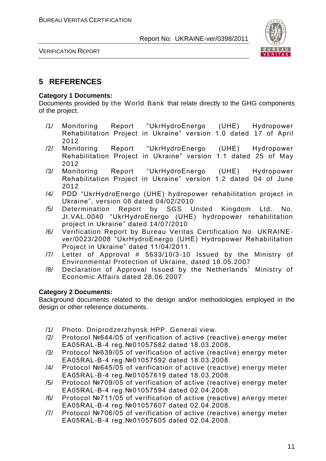

VERIFICATION REPORT

#### **5 REFERENCES**

#### **Category 1 Documents:**

Documents provided by the World Bank that relate directly to the GHG components of the project.

- /1/ Monitoring Report "UkrHydroEnergo (UHE) Hydropower Rehabilitation Project in Ukraine" version 1.0 dated 17 of April 2012
- /2/ Monitoring Report "UkrHydroEnergo (UHE) Hydropower Rehabilitation Project in Ukraine" version 1.1 dated 25 of May 2012
- /3/ Monitoring Report "UkrHydroEnergo (UHE) Hydropower Rehabilitation Project in Ukraine" version 1.2 dated 04 of June 2012
- /4/ PDD "UkrHydroEnergo (UHE) hydropower rehabilitation project in Ukraine", version 08 dated 04/02/2010<br>Determination Report by SGS U
- /5/ Determination Report by SGS United Kingdom Ltd. No. JI.VAL.0040 "UkrHydroEnergo (UHE) hydropower rehabilitation project in Ukraine" dated 14/07/2010
- /6/ Verification Report by Bureau Veritas Certification No. UKRAINEver/0023/2008 "UkrHydroEnergo (UHE) Hydropower Rehabilitation Project in Ukraine" dated 11/04/2011.
- /7/ Letter of Approval # 5633/10/3-10 Issued by the Ministry of Environmental Protection of Ukraine, dated 18.05.2007
- /8/ Declaration of Approval Issued by the Netherlands` Ministry of Economic Affairs dated 28.06.2007

#### **Category 2 Documents:**

Background documents related to the design and/or methodologies employed in the design or other reference documents.

- /1/ Photo. Dniprodzerzhynsk HPP. General view.
- /2/ Protocol №644/05 of verification of active (reactive) energy meter ЕА05RAL-В-4 reg.№01057582 dated 18.03.2008.
- /3/ Protocol №639/05 of verification of active (reactive) energy meter ЕА05RAL-В-4 reg.№01057592 dated 18.03.2008.
- /4/ Protocol №645/05 of verification of active (reactive) energy meter ЕА05RAL-В-4 reg.№01057619 dated 18.03.2008.
- /5/ Protocol №709/05 of verification of active (reactive) energy meter ЕА05RAL-В-4 reg.№01057594 dated 02.04.2008.
- /6/ Protocol №711/05 of verification of active (reactive) en ergy meter ЕА05RAL-В-4 reg.№01057607 dated 02.04.2008.
- /7/ Protocol №706/05 of verification of active (reactive) energy meter ЕА05RAL-В-4 reg.№01057605 dated 02.04.2008.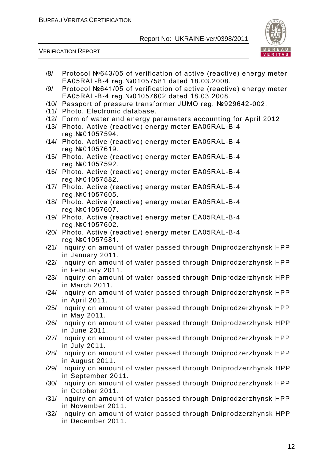

| /8/  | Protocol №643/05 of verification of active (reactive) energy meter                       |
|------|------------------------------------------------------------------------------------------|
|      | EA05RAL-B-4 reg. №01057581 dated 18.03.2008.                                             |
| /9/  | Protocol №641/05 of verification of active (reactive) energy meter                       |
|      | EA05RAL-B-4 reg. №01057602 dated 18.03.2008.                                             |
|      | /10/ Passport of pressure transformer JUMO reg. №929642-002.                             |
| /11/ | Photo. Electronic database.                                                              |
| /12/ | Form of water and energy parameters accounting for April 2012                            |
| /13/ | Photo. Active (reactive) energy meter EA05RAL-B-4                                        |
|      | reg. Nº 01057594.                                                                        |
|      | /14/ Photo. Active (reactive) energy meter EA05RAL-B-4                                   |
|      | reg. Nº 01057619.                                                                        |
|      | /15/ Photo. Active (reactive) energy meter EA05RAL-B-4                                   |
|      | reg. Nº01057592.                                                                         |
| /16/ | Photo. Active (reactive) energy meter EA05RAL-B-4                                        |
|      | reg. Nº 01057582.                                                                        |
|      | /17/ Photo. Active (reactive) energy meter EA05RAL-B-4                                   |
|      | reg. Nº 01057605.                                                                        |
|      | /18/ Photo. Active (reactive) energy meter EA05RAL-B-4                                   |
|      | reg. Nº01057607.                                                                         |
|      | /19/ Photo. Active (reactive) energy meter EA05RAL-B-4                                   |
|      | reg. Nº01057602.                                                                         |
|      | /20/ Photo. Active (reactive) energy meter EA05RAL-B-4                                   |
|      | reg. Nº 01057581.<br>/21/ Inquiry on amount of water passed through Dniprodzerzhynsk HPP |
|      | in January 2011.                                                                         |
| /22/ | Inquiry on amount of water passed through Dniprodzerzhynsk HPP                           |
|      | in February 2011.                                                                        |
| /23/ | Inquiry on amount of water passed through Dniprodzerzhynsk HPP                           |
|      | in March 2011.                                                                           |
|      | /24/ Inquiry on amount of water passed through Dniprodzerzhynsk HPP                      |
|      | in April 2011.                                                                           |
| /25/ | Inquiry on amount of water passed through Dniprodzerzhynsk HPP                           |
|      | in May 2011.                                                                             |
| /26/ | Inquiry on amount of water passed through Dniprodzerzhynsk HPP                           |
|      | in June 2011.                                                                            |
|      | /27/ Inquiry on amount of water passed through Dniprodzerzhynsk HPP                      |
|      | in July 2011.                                                                            |
| /28/ | Inquiry on amount of water passed through Dniprodzerzhynsk HPP                           |
|      | in August 2011.                                                                          |
| /29/ | Inquiry on amount of water passed through Dniprodzerzhynsk HPP                           |
|      | in September 2011.                                                                       |
| /30/ | Inquiry on amount of water passed through Dniprodzerzhynsk HPP                           |
|      | in October 2011.                                                                         |
| /31/ | Inquiry on amount of water passed through Dniprodzerzhynsk HPP                           |
|      | in November 2011.                                                                        |
| /32/ | Inquiry on amount of water passed through Dniprodzerzhynsk HPP                           |
|      | in December 2011.                                                                        |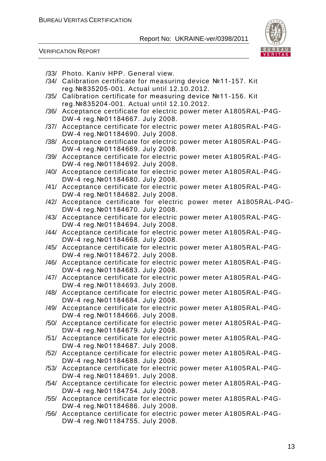

|      | /33/ Photo. Kaniv HPP. General view.                                                                   |
|------|--------------------------------------------------------------------------------------------------------|
| /34/ | Calibration certificate for measuring device №11-157. Kit                                              |
|      | reg. Nº835205-001. Actual until 12.10.2012.                                                            |
| /35/ | Calibration certificate for measuring device №11-156. Kit                                              |
|      | reg. Nº835204-001. Actual until 12.10.2012.                                                            |
| /36/ | Acceptance certificate for electric power meter A1805RAL-P4G-                                          |
|      | DW-4 reg. Nº01184667. July 2008.                                                                       |
| /37/ | Acceptance certificate for electric power meter A1805RAL-P4G-                                          |
|      | DW-4 reg. Nº01184690. July 2008.                                                                       |
| /38/ | Acceptance certificate for electric power meter A1805RAL-P4G-                                          |
|      | DW-4 reg. Nº01184669. July 2008.                                                                       |
| /39/ | Acceptance certificate for electric power meter A1805RAL-P4G-                                          |
|      | DW-4 reg. Nº01184692. July 2008.                                                                       |
|      | /40/ Acceptance certificate for electric power meter A1805RAL-P4G-<br>DW-4 reg. Nº01184680. July 2008. |
| /41/ | Acceptance certificate for electric power meter A1805RAL-P4G-                                          |
|      | DW-4 reg. Nº01184682. July 2008.                                                                       |
| /42/ | Acceptance certificate for electric power meter A1805RAL-P4G-                                          |
|      | DW-4 reg. Nº01184670. July 2008.                                                                       |
|      | /43/ Acceptance certificate for electric power meter A1805RAL-P4G-                                     |
|      | DW-4 reg. Nº01184694. July 2008.                                                                       |
| /44/ | Acceptance certificate for electric power meter A1805RAL-P4G-                                          |
|      | DW-4 reg. Nº01184668. July 2008.                                                                       |
| /45/ | Acceptance certificate for electric power meter A1805RAL-P4G-                                          |
|      | DW-4 reg. Nº01184672. July 2008.                                                                       |
| /46/ | Acceptance certificate for electric power meter A1805RAL-P4G-                                          |
|      | DW-4 reg. Nº01184683. July 2008.                                                                       |
| /47/ | Acceptance certificate for electric power meter A1805RAL-P4G-                                          |
|      | DW-4 reg. Nº01184693. July 2008.                                                                       |
| /48/ | Acceptance certificate for electric power meter A1805RAL-P4G-                                          |
|      | DW-4 reg. Nº01184684. July 2008.                                                                       |
|      | /49/ Acceptance certificate for electric power meter A1805RAL-P4G-                                     |
|      | DW-4 reg. Nº01184666. July 2008.                                                                       |
| /50/ | Acceptance certificate for electric power meter A1805RAL-P4G-<br>DW-4 reg. Nº01184679. July 2008.      |
| /51/ | Acceptance certificate for electric power meter A1805RAL-P4G-                                          |
|      | DW-4 reg. Nº01184687. July 2008.                                                                       |
| /52/ | Acceptance certificate for electric power meter A1805RAL-P4G-                                          |
|      | DW-4 reg. Nº01184688. July 2008.                                                                       |
| /53/ | Acceptance certificate for electric power meter A1805RAL-P4G-                                          |
|      | DW-4 reg. Nº01184691. July 2008.                                                                       |
| /54/ | Acceptance certificate for electric power meter A1805RAL-P4G-                                          |
|      | DW-4 reg. Nº01184754. July 2008.                                                                       |
| /55/ | Acceptance certificate for electric power meter A1805RAL-P4G-                                          |
|      | DW-4 reg. Nº01184686. July 2008.                                                                       |
| /56/ | Acceptance certificate for electric power meter A1805RAL-P4G-                                          |
|      | DW-4 reg. Nº01184755. July 2008.                                                                       |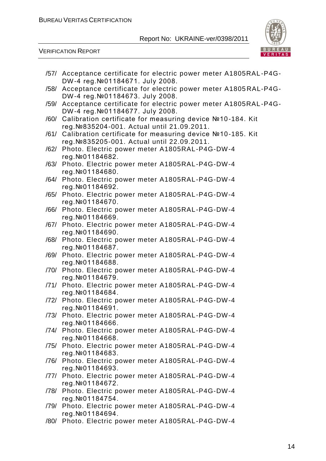

|      | /57/ Acceptance certificate for electric power meter A1805RAL-P4G-                                     |
|------|--------------------------------------------------------------------------------------------------------|
|      | DW-4 reg. Nº01184671. July 2008.<br>/58/ Acceptance certificate for electric power meter A1805RAL-P4G- |
|      | DW-4 reg. Nº01184673. July 2008.                                                                       |
| /59/ | Acceptance certificate for electric power meter A1805RAL-P4G-                                          |
|      | DW-4 reg. Nº01184677. July 2008.<br>/60/ Calibration certificate for measuring device №10-184. Kit     |
|      | reg. Nº835204-001. Actual until 21.09.2011.                                                            |
|      | /61/ Calibration certificate for measuring device №10-185. Kit                                         |
|      | reg. Nº835205-001. Actual until 22.09.2011.                                                            |
|      | /62/ Photo. Electric power meter A1805RAL-P4G-DW-4<br>reg. Nº 01184682.                                |
| /63/ | Photo. Electric power meter A1805RAL-P4G-DW-4                                                          |
|      | reg. Nº 01184680.                                                                                      |
|      | /64/ Photo. Electric power meter A1805RAL-P4G-DW-4<br>reg. Nº 01184692.                                |
|      | /65/ Photo. Electric power meter A1805RAL-P4G-DW-4                                                     |
|      | reg. Nº 01184670.                                                                                      |
| /66/ | Photo. Electric power meter A1805RAL-P4G-DW-4                                                          |
|      | reg. Nº 01184669.<br>/67/ Photo. Electric power meter A1805RAL-P4G-DW-4                                |
|      | reg. Nº 01184690.                                                                                      |
|      | /68/ Photo. Electric power meter A1805RAL-P4G-DW-4                                                     |
| /69/ | reg. Nº 01184687.<br>Photo. Electric power meter A1805RAL-P4G-DW-4                                     |
|      | reg. Nº 01184688.                                                                                      |
|      | /70/ Photo. Electric power meter A1805RAL-P4G-DW-4                                                     |
|      | reg. Nº 01184679.<br>/71/ Photo. Electric power meter A1805RAL-P4G-DW-4                                |
|      | reg. Nº 01184684.                                                                                      |
| /72/ | Photo. Electric power meter A1805RAL-P4G-DW-4                                                          |
|      | reg. Nº 01184691.                                                                                      |
|      | /73/ Photo. Electric power meter A1805RAL-P4G-DW-4<br>reg. Nº 01184666.                                |
|      | /74/ Photo. Electric power meter A1805RAL-P4G-DW-4                                                     |
|      | reg. Nº 01184668.                                                                                      |
|      | /75/ Photo. Electric power meter A1805RAL-P4G-DW-4<br>reg. Nº 01184683.                                |
|      | /76/ Photo. Electric power meter A1805RAL-P4G-DW-4                                                     |
|      | reg. Nº 01184693.                                                                                      |
|      | /77/ Photo. Electric power meter A1805RAL-P4G-DW-4<br>reg. Nº 01184672.                                |
| /78/ | Photo. Electric power meter A1805RAL-P4G-DW-4                                                          |
|      | reg. Nº 01184754.                                                                                      |
|      | /79/ Photo. Electric power meter A1805RAL-P4G-DW-4                                                     |
| /80/ | reg. Nº 01184694.<br>Photo. Electric power meter A1805RAL-P4G-DW-4                                     |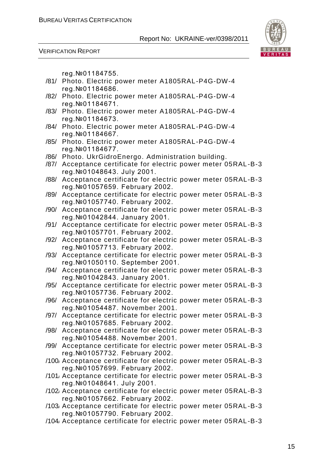

VERIFICATION REPORT

reg.№01184755.

- /81/ Photo. Electric power meter A1805RAL-P4G-DW-4 reg.№01184686.
- /82/ Photo. Electric power meter A1805RAL-P4G-DW-4 reg.№01184671.
- /83/ Photo. Electric power meter A1805RAL-P4G-DW-4 reg.№01184673.
- /84/ Photo. Electric power meter A1805RAL-P4G-DW-4 reg.№01184667.
- /85/ Photo. Electric power meter A1805RAL-P4G-DW-4 reg.№01184677.
- /86/ Photo. UkrGidroEnergo. Administration building.
- /87/ Acceptance certificate for electric power meter 05RAL -B-3 reg.№01048643. July 2001.
- /88/ Acceptance certificate for electric power meter 05RAL-B-3 reg.№01057659. February 2002.
- /89/ Acceptance certificate for electric power meter 05RAL -B-3 reg.№01057740. February 2002.
- /90/ Acceptance certificate for electric power meter 05RAL -B-3 reg.№01042844. January 2001.
- /91/ Acceptance certificate for electric power meter 05RAL-B-3 reg.№01057701. February 2002.
- /92/ Acceptance certificate for electric power meter 05RAL -B-3 reg.№01057713. February 2002.
- /93/ Acceptance certificate for electric power meter 05RAL -B-3 reg.№01050110. September 2001.
- /94/ Acceptance certificate for electric power meter 05RAL -B-3 reg.№01042843. January 2001.
- /95/ Acceptance certificate for electric power meter 05RAL -B-3 reg.№01057736. February 2002.
- /96/ Acceptance certificate for electric power meter 05RAL -B-3 reg.№01054487. November 2001.
- /97/ Acceptance certificate for electric power meter 05RAL -B-3 reg.№01057685. February 2002.
- /98/ Acceptance certificate for electric power meter 05RAL -B-3 reg.№01054488. November 2001.
- /99/ Acceptance certificate for electric power meter 05RAL -B-3 reg.№01057732. February 2002.
- /100/ Acceptance certificate for electric power meter 05RAL -B-3 reg.№01057699. February 2002.
- /101/ Acceptance certificate for electric power meter 05RAL -B-3 reg.№01048641. July 2001.
- /102/ Acceptance certificate for electric power meter 05RAL-B-3 reg.№01057662. February 2002.
- /103/ Acceptance certificate for electric power meter 05RAL -B-3 reg.№01057790. February 2002.
- /104/ Acceptance certificate for electric power meter 05RAL -B-3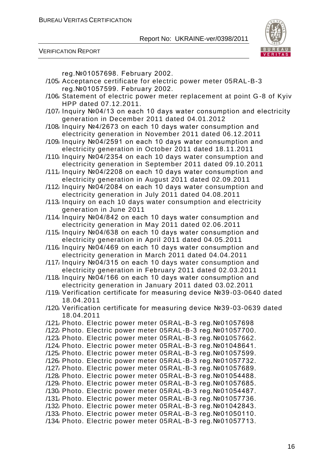

VERIFICATION REPORT

reg.№01057698. February 2002.

- /105/ Acceptance certificate for electric power meter 05RAL-B-3 reg.№01057599. February 2002.
- /106/ Statement of electric power meter replacement at point G-8 of Kyiv HPP dated 07.12.2011.
- /107/ Inquiry №04/13 on each 10 days water consumption and electricity generation in December 2011 dated 04.01.2012
- /108/ Inquiry №4/2673 on each 10 days water consumption and electricity generation in November 2011 dated 06.12.2011
- /109/ Inquiry №04/2591 on each 10 days water consumption and electricity generation in October 2011 dated 18.11.2011
- /110/ Inquiry №04/2354 on each 10 days water consumption and electricity generation in September 2011 dated 09.10.2011
- /111/ Inquiry №04/2208 on each 10 days water consumption and electricity generation in August 2011 dated 02.09.2011
- /112/ Inquiry №04/2084 on each 10 days water consumption and electricity generation in July 2011 dated 04.08.2011
- /113/ Inquiry on each 10 days water consumption and electricity generation in June 2011
- /114/ Inquiry №04/842 on each 10 days water consumption and electricity generation in May 2011 dated 02.06.2011
- /115/ Inquiry №04/638 on each 10 days water consumption and electricity generation in April 2011 dated 04.05.2011
- /116/ Inquiry №04/469 on each 10 days water consumption and electricity generation in March 2011 dated 04.04.2011
- /117/ Inquiry №04/315 on each 10 days water consumption and electricity generation in February 2011 dated 02.03.2011
- /118/ Inquiry №04/166 on each 10 days water consumption and electricity generation in January 2011 dated 03.02.2011
- /119/ Verification certificate for measuring device №39-03-0640 dated 18.04.2011
- /120/ Verification certificate for measuring device №39-03-0639 dated 18.04.2011
- /121/ Photo. Electric power meter 05RAL-B-3 reg.№01057698
- /122/ Photo. Electric power meter 05RAL-B-3 reg.№01057700.
- /123/ Photo. Electric power meter 05RAL-B-3 reg.№01057662.
- /124/ Photo. Electric power meter 05RAL-B-3 reg.№01048641.
- /125/ Photo. Electric power meter 05RAL-B-3 reg.№01057599.
- /126/ Photo. Electric power meter 05RAL-B-3 reg.№01057732.
- /127/ Photo. Electric power meter 05RAL-B-3 reg.№01057689.
- /128/ Photo. Electric power meter 05RAL-B-3 reg.№01054488.
- /129/ Photo. Electric power meter 05RAL-B-3 reg.№01057685.
- /130/ Photo. Electric power meter 05RAL-B-3 reg.№01054487.
- /131/ Photo. Electric power meter 05RAL-B-3 reg.№01057736. /132/ Photo. Electric power meter 05RAL-B-3 reg.№01042843.
- /133/ Photo. Electric power meter 05RAL-B-3 reg.№01050110.
- /134/ Photo. Electric power meter 05RAL-B-3 reg.№01057713.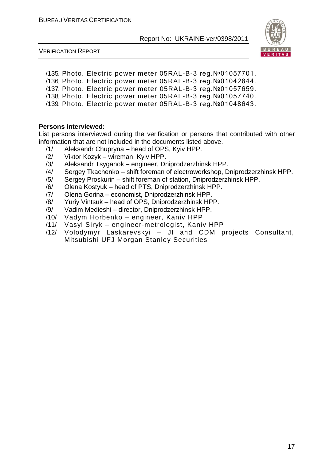

VERIFICATION REPORT

/135/ Photo. Electric power meter 05RAL-B-3 reg.№01057701. /136/ Photo. Electric power meter 05RAL-B-3 reg.№01042844. /137/ Photo. Electric power meter 05RAL-B-3 reg.№01057659. /138/ Photo. Electric power meter 05RAL-B-3 reg.№01057740. /139/ Photo. Electric power meter 05RAL-B-3 reg.№01048643.

#### **Persons interviewed:**

List persons interviewed during the verification or persons that contributed with other information that are not included in the documents listed above.

- /1/ Aleksandr Chupryna head of OPS, Kyiv HPP.
- /2/ Viktor Kozyk wireman, Kyiv HPP.
- /3/ Aleksandr Tsyganok engineer, Dniprodzerzhinsk HPP.<br>/4/ Sergey Tkachenko shift foreman of electroworkshop. D
- Sergey Tkachenko shift foreman of electroworkshop, Dniprodzerzhinsk HPP.
- /5/ Sergey Proskurin shift foreman of station, Dniprodzerzhinsk HPP.
- /6/ Olena Kostyuk head of PTS, Dniprodzerzhinsk HPP.
- /7/ Olena Gorina economist, Dniprodzerzhinsk HPP.
- /8/ Yuriy Vintsuk head of OPS, Dniprodzerzhinsk HPP.
- /9/ Vadim Medieshi director, Dniprodzerzhinsk HPP.
- /10/ Vadym Horbenko engineer, Kaniv HPP
- /11/ Vasyl Siryk engineer-metrologist, Kaniv HPP
- /12/ Volodymyr Laskarevskyi JI and CDM projects Consultant, Mitsubishi UFJ Morgan Stanley Securities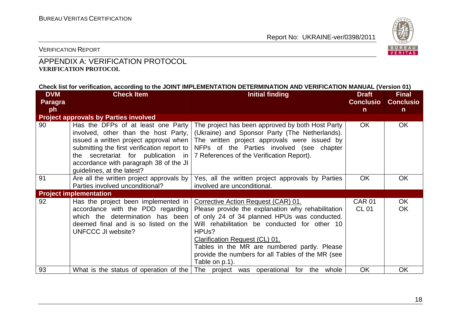

VERIFICATION REPORT

#### APPENDIX A: VERIFICATION PROTOCOL **VERIFICATION PROTOCOL**

#### **Check list for verification, according to the JOINT IMPLEMENTATION DETERMINATION AND VERIFICATION MANUAL (Version 01)**

| <b>DVM</b>     | <b>Check Item</b><br><b>Initial finding</b>                                                                                                                                                       |                                                                                                                                                                                                                                                                                                                                                                          | <b>Draft</b>                  | <b>Final</b>     |
|----------------|---------------------------------------------------------------------------------------------------------------------------------------------------------------------------------------------------|--------------------------------------------------------------------------------------------------------------------------------------------------------------------------------------------------------------------------------------------------------------------------------------------------------------------------------------------------------------------------|-------------------------------|------------------|
| <b>Paragra</b> |                                                                                                                                                                                                   |                                                                                                                                                                                                                                                                                                                                                                          | <b>Conclusio</b>              | <b>Conclusio</b> |
| ph             |                                                                                                                                                                                                   |                                                                                                                                                                                                                                                                                                                                                                          | $\mathsf{n}$                  | n                |
|                | <b>Project approvals by Parties involved</b>                                                                                                                                                      |                                                                                                                                                                                                                                                                                                                                                                          |                               |                  |
| 90             | Has the DFPs of at least one Party<br>involved, other than the host Party,<br>submitting the first verification report to<br>accordance with paragraph 38 of the JI<br>guidelines, at the latest? | The project has been approved by both Host Party<br>(Ukraine) and Sponsor Party (The Netherlands).<br>issued a written project approval when   The written project approvals were issued by<br>NFPs of the Parties involved (see chapter<br>the secretariat for publication in   7 References of the Verification Report).                                               | <b>OK</b>                     | OK.              |
| 91             | Are all the written project approvals by<br>Parties involved unconditional?                                                                                                                       | Yes, all the written project approvals by Parties<br>involved are unconditional.                                                                                                                                                                                                                                                                                         | <b>OK</b>                     | <b>OK</b>        |
|                | <b>Project implementation</b>                                                                                                                                                                     |                                                                                                                                                                                                                                                                                                                                                                          |                               |                  |
| 92             | Has the project been implemented in<br>accordance with the PDD regarding<br>which the determination has been<br>deemed final and is so listed on the<br>UNFCCC JI website?                        | Corrective Action Request (CAR) 01.<br>Please provide the explanation why rehabilitation<br>of only 24 of 34 planned HPUs was conducted.<br>Will rehabilitation be conducted for other 10<br>HPU <sub>s</sub> ?<br>Clarification Request (CL) 01.<br>Tables in the MR are numbered partly. Please<br>provide the numbers for all Tables of the MR (see<br>Table on p.1). | <b>CAR 01</b><br><b>CL 01</b> | OK.<br><b>OK</b> |
| 93             | What is the status of operation of the                                                                                                                                                            | The project was operational for the whole                                                                                                                                                                                                                                                                                                                                | OK                            | <b>OK</b>        |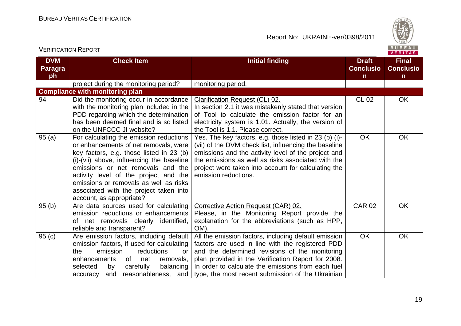

|                                    |                                                                                                                                                                                                                                                                                                                                                                         |                                                                                                                                                                                                                                                                                                                             |                                                  | <b>VENIIAS</b>                                   |
|------------------------------------|-------------------------------------------------------------------------------------------------------------------------------------------------------------------------------------------------------------------------------------------------------------------------------------------------------------------------------------------------------------------------|-----------------------------------------------------------------------------------------------------------------------------------------------------------------------------------------------------------------------------------------------------------------------------------------------------------------------------|--------------------------------------------------|--------------------------------------------------|
| <b>DVM</b><br><b>Paragra</b><br>ph | <b>Check Item</b>                                                                                                                                                                                                                                                                                                                                                       | <b>Initial finding</b>                                                                                                                                                                                                                                                                                                      | <b>Draft</b><br><b>Conclusio</b><br>$\mathsf{n}$ | <b>Final</b><br><b>Conclusio</b><br>$\mathsf{n}$ |
|                                    | project during the monitoring period?                                                                                                                                                                                                                                                                                                                                   | monitoring period.                                                                                                                                                                                                                                                                                                          |                                                  |                                                  |
|                                    | <b>Compliance with monitoring plan</b>                                                                                                                                                                                                                                                                                                                                  |                                                                                                                                                                                                                                                                                                                             |                                                  |                                                  |
| 94                                 | Did the monitoring occur in accordance<br>with the monitoring plan included in the<br>PDD regarding which the determination<br>has been deemed final and is so listed<br>on the UNFCCC JI website?                                                                                                                                                                      | <b>Clarification Request (CL) 02.</b><br>In section 2.1 it was mistakenly stated that version<br>of Tool to calculate the emission factor for an<br>electricity system is 1.01. Actually, the version of<br>the Tool is 1.1. Please correct.                                                                                | <b>CL 02</b>                                     | <b>OK</b>                                        |
| 95(a)                              | For calculating the emission reductions<br>or enhancements of net removals, were<br>key factors, e.g. those listed in 23 (b)<br>(i)-(vii) above, influencing the baseline<br>emissions or net removals and the<br>activity level of the project and the<br>emissions or removals as well as risks<br>associated with the project taken into<br>account, as appropriate? | Yes. The key factors, e.g. those listed in 23 (b) (i)-<br>(vii) of the DVM check list, influencing the baseline<br>emissions and the activity level of the project and<br>the emissions as well as risks associated with the<br>project were taken into account for calculating the<br>emission reductions.                 | OK                                               | <b>OK</b>                                        |
| 95(b)                              | Are data sources used for calculating<br>emission reductions or enhancements<br>of net removals clearly identified,<br>reliable and transparent?                                                                                                                                                                                                                        | Corrective Action Request (CAR) 02.<br>Please, in the Monitoring Report provide the<br>explanation for the abbreviations (such as HPP,<br>OM).                                                                                                                                                                              | <b>CAR 02</b>                                    | OK                                               |
| 95(c)                              | Are emission factors, including default<br>emission factors, if used for calculating<br>the<br>emission<br>reductions<br>or<br>enhancements<br>of<br>net<br>removals,<br>selected<br>carefully<br>balancing<br>by<br>accuracy and reasonableness, and                                                                                                                   | All the emission factors, including default emission<br>factors are used in line with the registered PDD<br>and the determined revisions of the monitoring<br>plan provided in the Verification Report for 2008.<br>In order to calculate the emissions from each fuel<br>type, the most recent submission of the Ukrainian | <b>OK</b>                                        | <b>OK</b>                                        |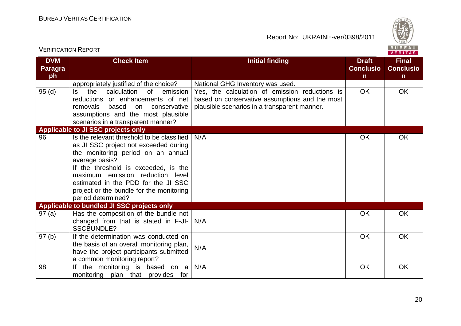

| ו גוש ושאו וישהו חשום א            |                                                                                                                                                                                                                                                                                                                                  |                                                                                                                                                  | VERITAS                                          |                                                  |
|------------------------------------|----------------------------------------------------------------------------------------------------------------------------------------------------------------------------------------------------------------------------------------------------------------------------------------------------------------------------------|--------------------------------------------------------------------------------------------------------------------------------------------------|--------------------------------------------------|--------------------------------------------------|
| <b>DVM</b><br><b>Paragra</b><br>ph | <b>Check Item</b>                                                                                                                                                                                                                                                                                                                | <b>Initial finding</b>                                                                                                                           | <b>Draft</b><br><b>Conclusio</b><br>$\mathsf{n}$ | <b>Final</b><br><b>Conclusio</b><br>$\mathsf{n}$ |
|                                    | appropriately justified of the choice?                                                                                                                                                                                                                                                                                           | National GHG Inventory was used.                                                                                                                 |                                                  |                                                  |
| 95(d)                              | the<br>of<br>emission<br>calculation<br>ls.<br>reductions or enhancements of net<br>based<br>removals<br>conservative<br>on<br>assumptions and the most plausible<br>scenarios in a transparent manner?                                                                                                                          | Yes, the calculation of emission reductions is<br>based on conservative assumptions and the most<br>plausible scenarios in a transparent manner. | <b>OK</b>                                        | <b>OK</b>                                        |
|                                    | Applicable to JI SSC projects only                                                                                                                                                                                                                                                                                               |                                                                                                                                                  |                                                  |                                                  |
| 96                                 | Is the relevant threshold to be classified<br>as JI SSC project not exceeded during<br>the monitoring period on an annual<br>average basis?<br>If the threshold is exceeded, is the<br>maximum emission reduction level<br>estimated in the PDD for the JI SSC<br>project or the bundle for the monitoring<br>period determined? | N/A                                                                                                                                              | <b>OK</b>                                        | <b>OK</b>                                        |
|                                    | Applicable to bundled JI SSC projects only                                                                                                                                                                                                                                                                                       |                                                                                                                                                  |                                                  |                                                  |
| 97(a)                              | Has the composition of the bundle not<br>changed from that is stated in F-JI-<br><b>SSCBUNDLE?</b>                                                                                                                                                                                                                               | N/A                                                                                                                                              | OK                                               | <b>OK</b>                                        |
| 97(b)                              | If the determination was conducted on<br>the basis of an overall monitoring plan,<br>have the project participants submitted<br>a common monitoring report?                                                                                                                                                                      | N/A                                                                                                                                              | OK                                               | <b>OK</b>                                        |
| 98                                 | the monitoring is based on a<br>lf<br>monitoring plan that provides for                                                                                                                                                                                                                                                          | N/A                                                                                                                                              | <b>OK</b>                                        | <b>OK</b>                                        |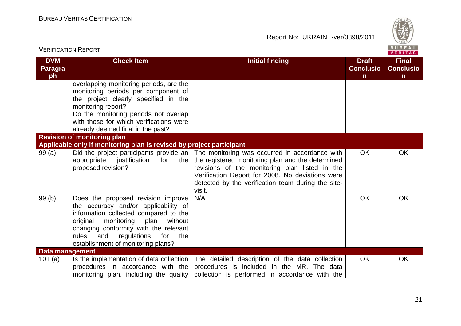

| <b>VERIFICATION REPORT</b>         |                                                                                                                                                                                                                                                                                              |                                                                                                                                                                                                                                                                           |                                                  | <b>BUREAU</b><br>VERITAS                         |
|------------------------------------|----------------------------------------------------------------------------------------------------------------------------------------------------------------------------------------------------------------------------------------------------------------------------------------------|---------------------------------------------------------------------------------------------------------------------------------------------------------------------------------------------------------------------------------------------------------------------------|--------------------------------------------------|--------------------------------------------------|
| <b>DVM</b><br><b>Paragra</b><br>ph | <b>Check Item</b>                                                                                                                                                                                                                                                                            | <b>Initial finding</b>                                                                                                                                                                                                                                                    | <b>Draft</b><br><b>Conclusio</b><br>$\mathsf{n}$ | <b>Final</b><br><b>Conclusio</b><br>$\mathsf{n}$ |
|                                    | overlapping monitoring periods, are the<br>monitoring periods per component of<br>the project clearly specified in the<br>monitoring report?<br>Do the monitoring periods not overlap<br>with those for which verifications were<br>already deemed final in the past?                        |                                                                                                                                                                                                                                                                           |                                                  |                                                  |
|                                    | <b>Revision of monitoring plan</b>                                                                                                                                                                                                                                                           |                                                                                                                                                                                                                                                                           |                                                  |                                                  |
|                                    | Applicable only if monitoring plan is revised by project participant                                                                                                                                                                                                                         |                                                                                                                                                                                                                                                                           |                                                  |                                                  |
| 99(a)                              | Did the project participants provide an  <br>appropriate justification<br>for<br>the<br>proposed revision?                                                                                                                                                                                   | The monitoring was occurred in accordance with<br>the registered monitoring plan and the determined<br>revisions of the monitoring plan listed in the<br>Verification Report for 2008. No deviations were<br>detected by the verification team during the site-<br>visit. | <b>OK</b>                                        | <b>OK</b>                                        |
| 99(b)                              | Does the proposed revision improve<br>the accuracy and/or applicability of<br>information collected compared to the<br>monitoring<br>plan<br>without<br>original<br>changing conformity with the relevant<br>rules<br>and<br>regulations<br>for<br>the<br>establishment of monitoring plans? | N/A                                                                                                                                                                                                                                                                       | <b>OK</b>                                        | <b>OK</b>                                        |
| Data management                    |                                                                                                                                                                                                                                                                                              |                                                                                                                                                                                                                                                                           |                                                  |                                                  |
| 101(a)                             | Is the implementation of data collection<br>procedures in accordance with the<br>monitoring plan, including the quality                                                                                                                                                                      | The detailed description of the data collection<br>procedures is included in the MR. The data<br>collection is performed in accordance with the                                                                                                                           | <b>OK</b>                                        | <b>OK</b>                                        |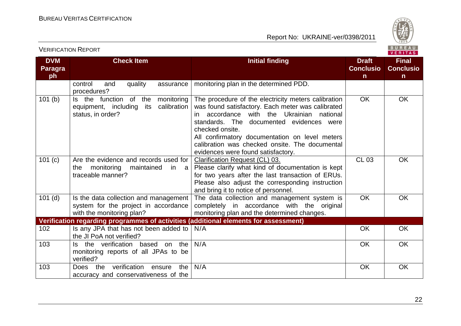

| <b>DVM</b><br><b>Paragra</b><br>ph | <b>Check Item</b>                                                                                          | <b>Initial finding</b>                                                                                                                                                                                                                                                                                                                                                 | <b>Draft</b><br><b>Conclusio</b><br>n. | <b>Final</b><br><b>Conclusio</b><br>n |
|------------------------------------|------------------------------------------------------------------------------------------------------------|------------------------------------------------------------------------------------------------------------------------------------------------------------------------------------------------------------------------------------------------------------------------------------------------------------------------------------------------------------------------|----------------------------------------|---------------------------------------|
|                                    | control<br>quality<br>and<br>assurance<br>procedures?                                                      | monitoring plan in the determined PDD.                                                                                                                                                                                                                                                                                                                                 |                                        |                                       |
| 101(b)                             | Is the function of the<br>monitoring<br>calibration<br>equipment, including<br>its<br>status, in order?    | The procedure of the electricity meters calibration<br>was found satisfactory. Each meter was calibrated<br>accordance with the Ukrainian national<br>in l<br>standards. The<br>documented evidences were<br>checked onsite.<br>All confirmatory documentation on level meters<br>calibration was checked onsite. The documental<br>evidences were found satisfactory. | <b>OK</b>                              | OK                                    |
| 101(c)                             | Are the evidence and records used for<br>monitoring<br>maintained<br>the<br>in a<br>traceable manner?      | Clarification Request (CL) 03.<br>Please clarify what kind of documentation is kept<br>for two years after the last transaction of ERUs.<br>Please also adjust the corresponding instruction<br>and bring it to notice of personnel.                                                                                                                                   | <b>CL 03</b>                           | OK                                    |
| $101$ (d)                          | Is the data collection and management<br>system for the project in accordance<br>with the monitoring plan? | The data collection and management system is<br>completely in accordance with the original<br>monitoring plan and the determined changes.                                                                                                                                                                                                                              | <b>OK</b>                              | OK                                    |
|                                    | Verification regarding programmes of activities (additional elements for assessment)                       |                                                                                                                                                                                                                                                                                                                                                                        |                                        |                                       |
| 102                                | Is any JPA that has not been added to<br>the JI PoA not verified?                                          | N/A                                                                                                                                                                                                                                                                                                                                                                    | <b>OK</b>                              | <b>OK</b>                             |
| 103                                | Is the verification based on<br>the<br>monitoring reports of all JPAs to be<br>verified?                   | N/A                                                                                                                                                                                                                                                                                                                                                                    | OK                                     | OK                                    |
| 103                                | verification<br>the<br>the<br>ensure<br>Does<br>accuracy and conservativeness of the                       | N/A                                                                                                                                                                                                                                                                                                                                                                    | <b>OK</b>                              | OK                                    |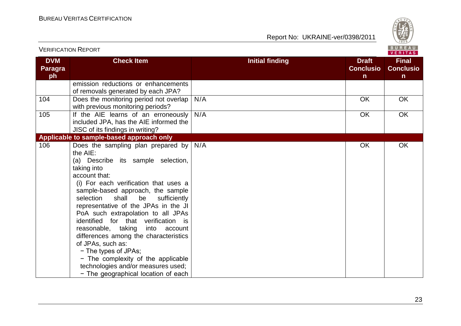

|                                    | <b>VERIFICATION REPORT</b>                                                                                                                                                                                                                                                                                                                                                                                                                                                                                                                                                                                         |                        |                                                  | BUREAU<br>VERITAS                                |
|------------------------------------|--------------------------------------------------------------------------------------------------------------------------------------------------------------------------------------------------------------------------------------------------------------------------------------------------------------------------------------------------------------------------------------------------------------------------------------------------------------------------------------------------------------------------------------------------------------------------------------------------------------------|------------------------|--------------------------------------------------|--------------------------------------------------|
| <b>DVM</b><br><b>Paragra</b><br>ph | <b>Check Item</b>                                                                                                                                                                                                                                                                                                                                                                                                                                                                                                                                                                                                  | <b>Initial finding</b> | <b>Draft</b><br><b>Conclusio</b><br>$\mathsf{n}$ | <b>Final</b><br><b>Conclusio</b><br>$\mathsf{n}$ |
|                                    | emission reductions or enhancements<br>of removals generated by each JPA?                                                                                                                                                                                                                                                                                                                                                                                                                                                                                                                                          |                        |                                                  |                                                  |
| 104                                | Does the monitoring period not overlap<br>with previous monitoring periods?                                                                                                                                                                                                                                                                                                                                                                                                                                                                                                                                        | N/A                    | OK                                               | OK                                               |
| 105                                | If the AIE learns of an erroneously<br>included JPA, has the AIE informed the<br>JISC of its findings in writing?                                                                                                                                                                                                                                                                                                                                                                                                                                                                                                  | N/A                    | <b>OK</b>                                        | OK                                               |
|                                    | Applicable to sample-based approach only                                                                                                                                                                                                                                                                                                                                                                                                                                                                                                                                                                           |                        |                                                  |                                                  |
| 106                                | Does the sampling plan prepared by<br>the AIE:<br>(a) Describe its sample selection,<br>taking into<br>account that:<br>(i) For each verification that uses a<br>sample-based approach, the sample<br>selection<br>shall<br>be<br>sufficiently<br>representative of the JPAs in the JI<br>PoA such extrapolation to all JPAs<br>identified for that verification is<br>reasonable, taking<br>into account<br>differences among the characteristics<br>of JPAs, such as:<br>- The types of JPAs;<br>- The complexity of the applicable<br>technologies and/or measures used;<br>- The geographical location of each | N/A                    | OK                                               | OK                                               |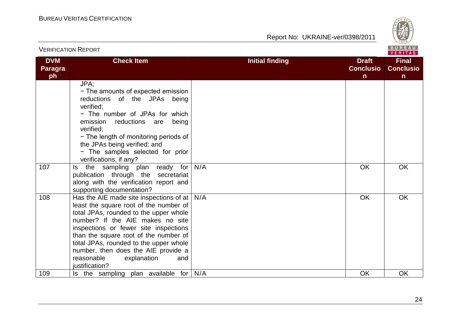

| <b>VERIFICATION REPORT</b>         |                                                                                                                                                                                                                                                                                                                                                                                                                                                                      |                        |                                                  | BUREAU<br><b>VERITAS</b>              |
|------------------------------------|----------------------------------------------------------------------------------------------------------------------------------------------------------------------------------------------------------------------------------------------------------------------------------------------------------------------------------------------------------------------------------------------------------------------------------------------------------------------|------------------------|--------------------------------------------------|---------------------------------------|
| <b>DVM</b><br><b>Paragra</b><br>ph | <b>Check Item</b>                                                                                                                                                                                                                                                                                                                                                                                                                                                    | <b>Initial finding</b> | <b>Draft</b><br><b>Conclusio</b><br>$\mathsf{n}$ | <b>Final</b><br><b>Conclusio</b><br>n |
| 107                                | JPA;<br>- The amounts of expected emission<br>reductions of the JPAs being<br>verified;<br>- The number of JPAs for which<br>emission<br>reductions are<br>being<br>verified:<br>- The length of monitoring periods of<br>the JPAs being verified; and<br>- The samples selected for prior<br>verifications, if any?<br>Is the sampling plan ready for<br>publication through the secretariat<br>along with the verification report and<br>supporting documentation? | N/A                    | <b>OK</b>                                        | <b>OK</b>                             |
| 108                                | Has the AIE made site inspections of at $ $<br>least the square root of the number of<br>total JPAs, rounded to the upper whole<br>number? If the AIE makes no site<br>inspections or fewer site inspections<br>than the square root of the number of<br>total JPAs, rounded to the upper whole<br>number, then does the AIE provide a<br>reasonable<br>explanation<br>and<br>justification?                                                                         | N/A                    | <b>OK</b>                                        | <b>OK</b>                             |
| 109                                | Is the sampling plan available for $N/A$                                                                                                                                                                                                                                                                                                                                                                                                                             |                        | <b>OK</b>                                        | <b>OK</b>                             |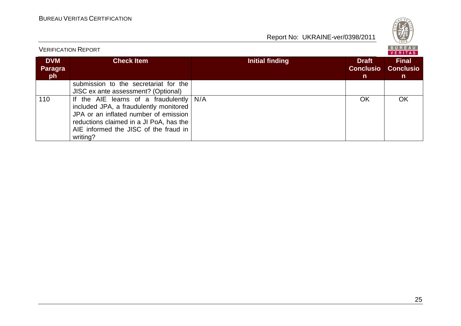

| <b>VERIFICATION REPORT</b>   |                                                                                                                                                                                                                              |                 |                                                  |                                        |
|------------------------------|------------------------------------------------------------------------------------------------------------------------------------------------------------------------------------------------------------------------------|-----------------|--------------------------------------------------|----------------------------------------|
| <b>DVM</b><br>Paragra<br>ph. | <b>Check Item</b>                                                                                                                                                                                                            | Initial finding | <b>Draft</b><br><b>Conclusio</b><br>$\mathsf{n}$ | <b>Final</b><br><b>Conclusio</b><br>n. |
|                              | submission to the secretariat for the<br>JISC ex ante assessment? (Optional)                                                                                                                                                 |                 |                                                  |                                        |
| 110                          | If the AIE learns of a fraudulently $N/A$<br>included JPA, a fraudulently monitored<br>JPA or an inflated number of emission<br>reductions claimed in a JI PoA, has the<br>AIE informed the JISC of the fraud in<br>writing? |                 | OK                                               | OK                                     |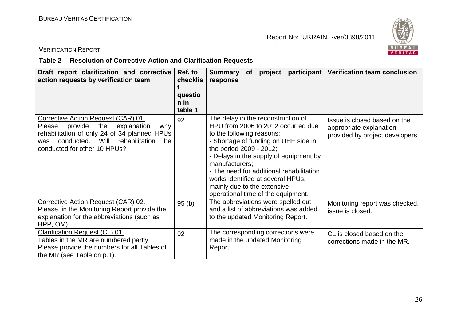

#### VERIFICATION REPORT

#### **Table 2 Resolution of Corrective Action and Clarification Requests**

| Draft report clarification and corrective<br>action requests by verification team                                                                                                                                       | Ref. to<br><b>checklis</b><br>questio<br>n in<br>table 1 | participant<br>Summary<br>project<br><b>of</b><br>response                                                                                                                                                                                                                                                                                                                                 | Verification team conclusion                                                               |
|-------------------------------------------------------------------------------------------------------------------------------------------------------------------------------------------------------------------------|----------------------------------------------------------|--------------------------------------------------------------------------------------------------------------------------------------------------------------------------------------------------------------------------------------------------------------------------------------------------------------------------------------------------------------------------------------------|--------------------------------------------------------------------------------------------|
| Corrective Action Request (CAR) 01.<br>Please<br>provide<br>the<br>explanation<br>why<br>rehabilitation of only 24 of 34 planned HPUs<br>Will rehabilitation<br>conducted.<br>be<br>was<br>conducted for other 10 HPUs? | 92                                                       | The delay in the reconstruction of<br>HPU from 2006 to 2012 occurred due<br>to the following reasons:<br>- Shortage of funding on UHE side in<br>the period 2009 - 2012;<br>- Delays in the supply of equipment by<br>manufacturers;<br>- The need for additional rehabilitation<br>works identified at several HPUs,<br>mainly due to the extensive<br>operational time of the equipment. | Issue is closed based on the<br>appropriate explanation<br>provided by project developers. |
| Corrective Action Request (CAR) 02.<br>Please, in the Monitoring Report provide the<br>explanation for the abbreviations (such as<br>HPP, OM).                                                                          | 95(b)                                                    | The abbreviations were spelled out<br>and a list of abbreviations was added<br>to the updated Monitoring Report.                                                                                                                                                                                                                                                                           | Monitoring report was checked,<br>issue is closed.                                         |
| Clarification Request (CL) 01.<br>Tables in the MR are numbered partly.<br>Please provide the numbers for all Tables of<br>the MR (see Table on p.1).                                                                   | 92                                                       | The corresponding corrections were<br>made in the updated Monitoring<br>Report.                                                                                                                                                                                                                                                                                                            | CL is closed based on the<br>corrections made in the MR.                                   |